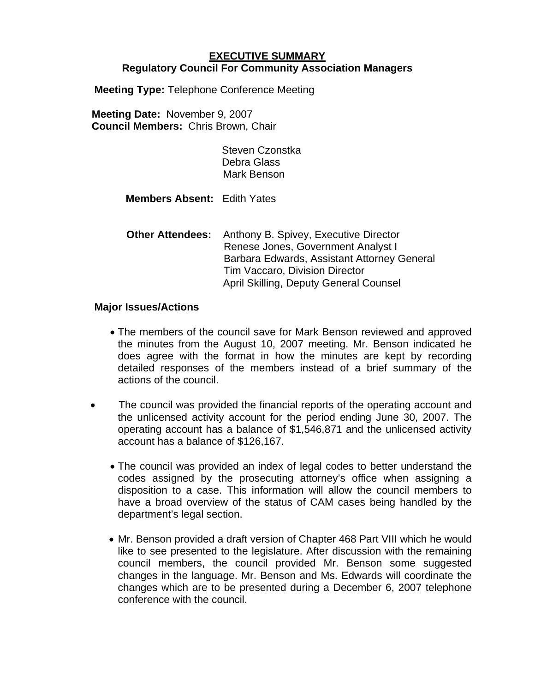## **EXECUTIVE SUMMARY Regulatory Council For Community Association Managers**

**Meeting Type:** Telephone Conference Meeting

**Meeting Date:** November 9, 2007 **Council Members:** Chris Brown, Chair

> Steven Czonstka Debra Glass Mark Benson

**Members Absent:** Edith Yates

 **Other Attendees:** Anthony B. Spivey, Executive Director Renese Jones, Government Analyst I Barbara Edwards, Assistant Attorney General Tim Vaccaro, Division Director April Skilling, Deputy General Counsel

## **Major Issues/Actions**

- The members of the council save for Mark Benson reviewed and approved the minutes from the August 10, 2007 meeting. Mr. Benson indicated he does agree with the format in how the minutes are kept by recording detailed responses of the members instead of a brief summary of the actions of the council.
- The council was provided the financial reports of the operating account and the unlicensed activity account for the period ending June 30, 2007. The operating account has a balance of \$1,546,871 and the unlicensed activity account has a balance of \$126,167.
	- The council was provided an index of legal codes to better understand the codes assigned by the prosecuting attorney's office when assigning a disposition to a case. This information will allow the council members to have a broad overview of the status of CAM cases being handled by the department's legal section.
	- Mr. Benson provided a draft version of Chapter 468 Part VIII which he would like to see presented to the legislature. After discussion with the remaining council members, the council provided Mr. Benson some suggested changes in the language. Mr. Benson and Ms. Edwards will coordinate the changes which are to be presented during a December 6, 2007 telephone conference with the council.